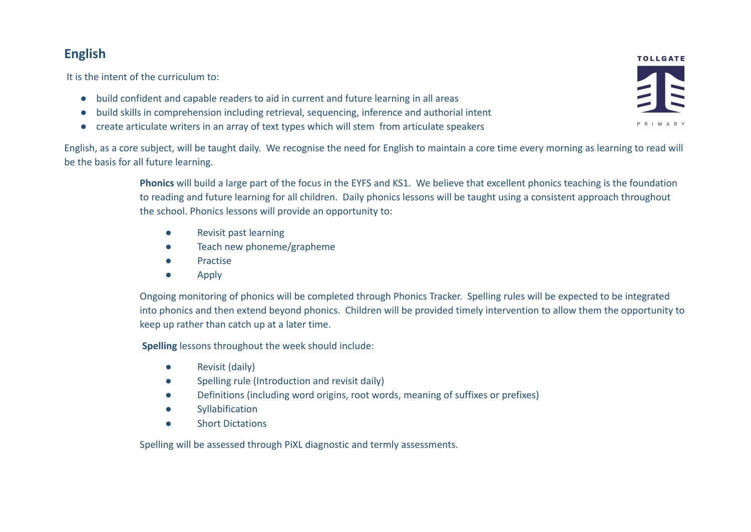# **English**

It is the intent of the curriculum to:

- build confident and capable readers to aid in current and future learning in all areas
- build skills in comprehension including retrieval, sequencing, inference and authorial intent
- create articulate writers in an array of text types which will stem from articulate speakers

English, as a core subject, will be taught daily. We recognise the need for English to maintain a core time every morning as learning to read will be the basis for all future learning.

> **Phonics** will build a large part of the focus in the EYFS and KS1. We believe that excellent phonics teaching is the foundation to reading and future learning for all children. Daily phonics lessons will be taught using a consistent approach throughout the school. Phonics lessons will provide an opportunity to:

- Revisit past learning
- Teach new phoneme/grapheme
- Practise
- Apply

Ongoing monitoring of phonics will be completed through Phonics Tracker. Spelling rules will be expected to be integrated into phonics and then extend beyond phonics. Children will be provided timely intervention to allow them the opportunity to keep up rather than catch up at a later time.

**Spelling** lessons throughout the week should include:

- Revisit (daily)
- Spelling rule (Introduction and revisit daily)
- Definitions (including word origins, root words, meaning of suffixes or prefixes)
- Syllabification
- Short Dictations

Spelling will be assessed through PiXL diagnostic and termly assessments.

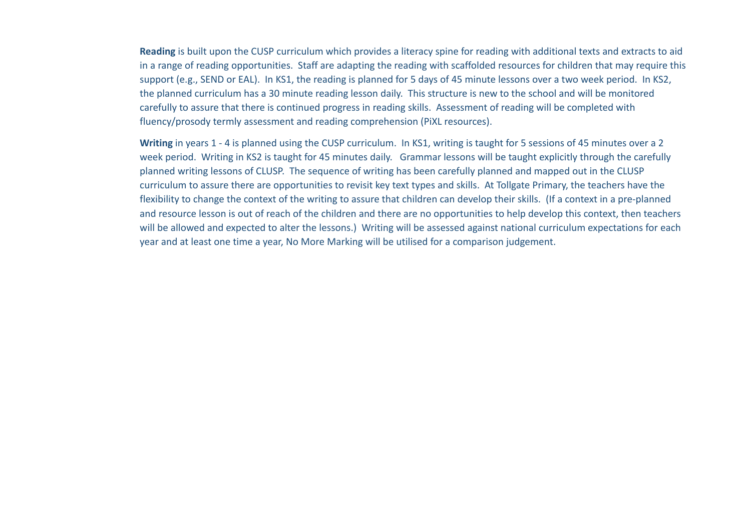**Reading** is built upon the CUSP curriculum which provides a literacy spine for reading with additional texts and extracts to aid in a range of reading opportunities. Staff are adapting the reading with scaffolded resources for children that may require this support (e.g., SEND or EAL). In KS1, the reading is planned for 5 days of 45 minute lessons over a two week period. In KS2, the planned curriculum has a 30 minute reading lesson daily. This structure is new to the school and will be monitored carefully to assure that there is continued progress in reading skills. Assessment of reading will be completed with fluency/prosody termly assessment and reading comprehension (PiXL resources).

**Writing** in years 1 - 4 is planned using the CUSP curriculum. In KS1, writing is taught for 5 sessions of 45 minutes over a 2 week period. Writing in KS2 is taught for 45 minutes daily. Grammar lessons will be taught explicitly through the carefully planned writing lessons of CLUSP. The sequence of writing has been carefully planned and mapped out in the CLUSP curriculum to assure there are opportunities to revisit key text types and skills. At Tollgate Primary, the teachers have the flexibility to change the context of the writing to assure that children can develop their skills. (If a context in a pre-planned and resource lesson is out of reach of the children and there are no opportunities to help develop this context, then teachers will be allowed and expected to alter the lessons.) Writing will be assessed against national curriculum expectations for each year and at least one time a year, No More Marking will be utilised for a comparison judgement.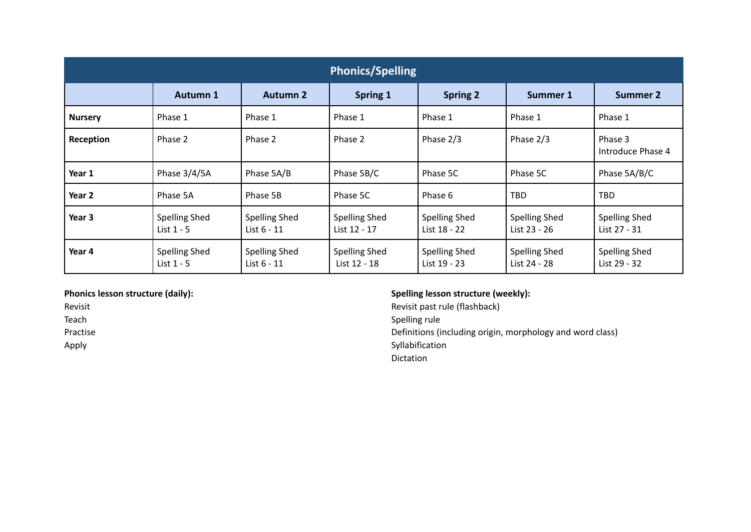| <b>Phonics/Spelling</b> |                                      |                                       |                                      |                                      |                                      |                                      |
|-------------------------|--------------------------------------|---------------------------------------|--------------------------------------|--------------------------------------|--------------------------------------|--------------------------------------|
|                         | <b>Autumn 1</b>                      | <b>Autumn 2</b>                       | <b>Spring 1</b>                      | <b>Spring 2</b>                      | <b>Summer 1</b>                      | <b>Summer 2</b>                      |
| <b>Nursery</b>          | Phase 1                              | Phase 1                               | Phase 1                              | Phase 1                              | Phase 1                              | Phase 1                              |
| Reception               | Phase 2                              | Phase 2                               | Phase 2                              | Phase 2/3                            | Phase 2/3                            | Phase 3<br>Introduce Phase 4         |
| Year 1                  | Phase 3/4/5A                         | Phase 5A/B                            | Phase 5B/C                           | Phase 5C                             | Phase 5C                             | Phase 5A/B/C                         |
| Year 2                  | Phase 5A                             | Phase 5B                              | Phase 5C                             | Phase 6                              | <b>TBD</b>                           | <b>TBD</b>                           |
| Year 3                  | <b>Spelling Shed</b><br>List $1 - 5$ | <b>Spelling Shed</b><br>List $6 - 11$ | Spelling Shed<br>List 12 - 17        | <b>Spelling Shed</b><br>List 18 - 22 | <b>Spelling Shed</b><br>List 23 - 26 | <b>Spelling Shed</b><br>List 27 - 31 |
| Year 4                  | <b>Spelling Shed</b><br>List $1 - 5$ | <b>Spelling Shed</b><br>List 6 - 11   | <b>Spelling Shed</b><br>List 12 - 18 | <b>Spelling Shed</b><br>List 19 - 23 | <b>Spelling Shed</b><br>List 24 - 28 | <b>Spelling Shed</b><br>List 29 - 32 |

## **Phonics lesson structure (daily):**

Revisit

Teach

Practise

Apply

# **Spelling lesson structure (weekly):**

Revisit past rule (flashback) Spelling rule Definitions (including origin, morphology and word class) Syllabification Dictation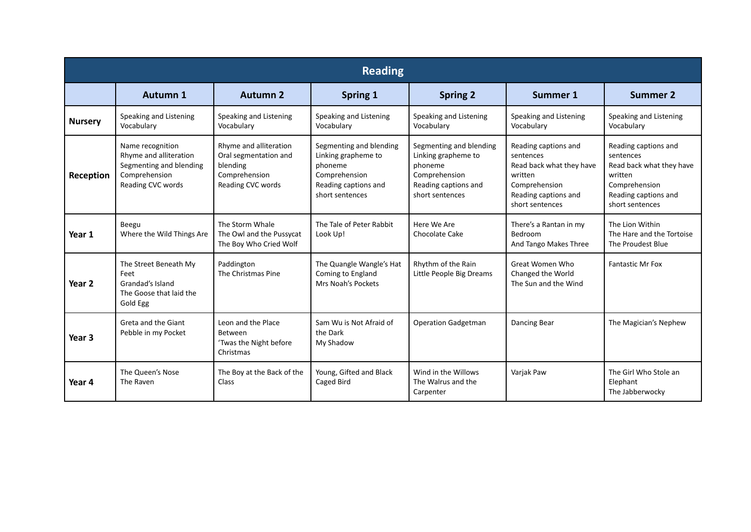| <b>Reading</b>    |                                                                                                             |                                                                                                   |                                                                                                                       |                                                                                                                       |                                                                                                                                      |                                                                                                                                      |
|-------------------|-------------------------------------------------------------------------------------------------------------|---------------------------------------------------------------------------------------------------|-----------------------------------------------------------------------------------------------------------------------|-----------------------------------------------------------------------------------------------------------------------|--------------------------------------------------------------------------------------------------------------------------------------|--------------------------------------------------------------------------------------------------------------------------------------|
|                   | <b>Autumn 1</b>                                                                                             | <b>Autumn 2</b>                                                                                   | Spring 1                                                                                                              | <b>Spring 2</b>                                                                                                       | Summer 1                                                                                                                             | <b>Summer 2</b>                                                                                                                      |
| <b>Nursery</b>    | Speaking and Listening<br>Vocabulary                                                                        | Speaking and Listening<br>Vocabulary                                                              | Speaking and Listening<br>Vocabulary                                                                                  | Speaking and Listening<br>Vocabulary                                                                                  | Speaking and Listening<br>Vocabulary                                                                                                 | Speaking and Listening<br>Vocabulary                                                                                                 |
| Reception         | Name recognition<br>Rhyme and alliteration<br>Segmenting and blending<br>Comprehension<br>Reading CVC words | Rhyme and alliteration<br>Oral segmentation and<br>blending<br>Comprehension<br>Reading CVC words | Segmenting and blending<br>Linking grapheme to<br>phoneme<br>Comprehension<br>Reading captions and<br>short sentences | Segmenting and blending<br>Linking grapheme to<br>phoneme<br>Comprehension<br>Reading captions and<br>short sentences | Reading captions and<br>sentences<br>Read back what they have<br>written<br>Comprehension<br>Reading captions and<br>short sentences | Reading captions and<br>sentences<br>Read back what they have<br>written<br>Comprehension<br>Reading captions and<br>short sentences |
| Year 1            | Beegu<br>Where the Wild Things Are                                                                          | The Storm Whale<br>The Owl and the Pussycat<br>The Boy Who Cried Wolf                             | The Tale of Peter Rabbit<br>Look Up!                                                                                  | Here We Are<br>Chocolate Cake                                                                                         | There's a Rantan in my<br>Bedroom<br>And Tango Makes Three                                                                           | The Lion Within<br>The Hare and the Tortoise<br>The Proudest Blue                                                                    |
| Year <sub>2</sub> | The Street Beneath My<br>Feet<br>Grandad's Island<br>The Goose that laid the<br>Gold Egg                    | Paddington<br>The Christmas Pine                                                                  | The Quangle Wangle's Hat<br>Coming to England<br>Mrs Noah's Pockets                                                   | Rhythm of the Rain<br>Little People Big Dreams                                                                        | Great Women Who<br>Changed the World<br>The Sun and the Wind                                                                         | <b>Fantastic Mr Fox</b>                                                                                                              |
| Year 3            | Greta and the Giant<br>Pebble in my Pocket                                                                  | Leon and the Place<br>Between<br>'Twas the Night before<br>Christmas                              | Sam Wu is Not Afraid of<br>the Dark<br>My Shadow                                                                      | <b>Operation Gadgetman</b>                                                                                            | Dancing Bear                                                                                                                         | The Magician's Nephew                                                                                                                |
| Year 4            | The Queen's Nose<br>The Raven                                                                               | The Boy at the Back of the<br>Class                                                               | Young, Gifted and Black<br>Caged Bird                                                                                 | Wind in the Willows<br>The Walrus and the<br>Carpenter                                                                | Varjak Paw                                                                                                                           | The Girl Who Stole an<br>Elephant<br>The Jabberwocky                                                                                 |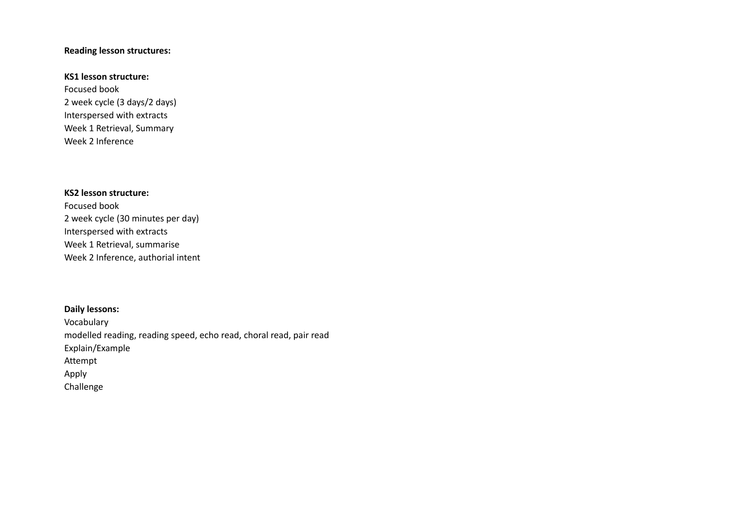### **Reading lesson structures:**

#### **KS1 lesson structure:**

Focused book 2 week cycle (3 days/2 days) Interspersed with extracts Week 1 Retrieval, Summary Week 2 Inference

## **KS2 lesson structure:**

Focused book 2 week cycle (30 minutes per day) Interspersed with extracts Week 1 Retrieval, summarise Week 2 Inference, authorial intent

### **Daily lessons:**

Vocabulary modelled reading, reading speed, echo read, choral read, pair read Explain/Example Attempt Apply Challenge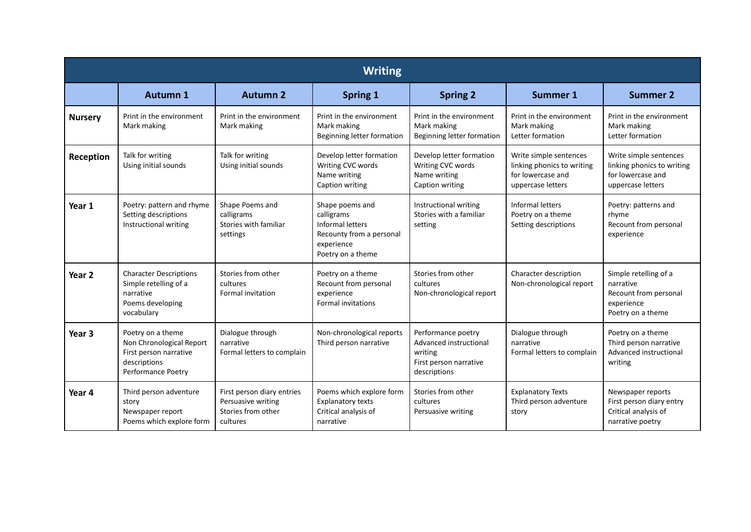| <b>Writing</b> |                                                                                                               |                                                                                    |                                                                                                                  |                                                                                                   |                                                                                                |                                                                                                |
|----------------|---------------------------------------------------------------------------------------------------------------|------------------------------------------------------------------------------------|------------------------------------------------------------------------------------------------------------------|---------------------------------------------------------------------------------------------------|------------------------------------------------------------------------------------------------|------------------------------------------------------------------------------------------------|
|                | <b>Autumn 1</b>                                                                                               | <b>Autumn 2</b>                                                                    | <b>Spring 1</b>                                                                                                  | <b>Spring 2</b>                                                                                   | <b>Summer 1</b>                                                                                | <b>Summer 2</b>                                                                                |
| <b>Nursery</b> | Print in the environment<br>Mark making                                                                       | Print in the environment<br>Mark making                                            | Print in the environment<br>Mark making<br>Beginning letter formation                                            | Print in the environment<br>Mark making<br>Beginning letter formation                             | Print in the environment<br>Mark making<br>Letter formation                                    | Print in the environment<br>Mark making<br>Letter formation                                    |
| Reception      | Talk for writing<br>Using initial sounds                                                                      | Talk for writing<br>Using initial sounds                                           | Develop letter formation<br>Writing CVC words<br>Name writing<br>Caption writing                                 | Develop letter formation<br>Writing CVC words<br>Name writing<br>Caption writing                  | Write simple sentences<br>linking phonics to writing<br>for lowercase and<br>uppercase letters | Write simple sentences<br>linking phonics to writing<br>for lowercase and<br>uppercase letters |
| Year 1         | Poetry: pattern and rhyme<br>Setting descriptions<br>Instructional writing                                    | Shape Poems and<br>calligrams<br>Stories with familiar<br>settings                 | Shape poems and<br>calligrams<br>Informal letters<br>Recounty from a personal<br>experience<br>Poetry on a theme | Instructional writing<br>Stories with a familiar<br>setting                                       | Informal letters<br>Poetry on a theme<br>Setting descriptions                                  | Poetry: patterns and<br>rhyme<br>Recount from personal<br>experience                           |
| Year 2         | <b>Character Descriptions</b><br>Simple retelling of a<br>narrative<br>Poems developing<br>vocabulary         | Stories from other<br>cultures<br>Formal invitation                                | Poetry on a theme<br>Recount from personal<br>experience<br><b>Formal invitations</b>                            | Stories from other<br>cultures<br>Non-chronological report                                        | Character description<br>Non-chronological report                                              | Simple retelling of a<br>narrative<br>Recount from personal<br>experience<br>Poetry on a theme |
| Year 3         | Poetry on a theme<br>Non Chronological Report<br>First person narrative<br>descriptions<br>Performance Poetry | Dialogue through<br>narrative<br>Formal letters to complain                        | Non-chronological reports<br>Third person narrative                                                              | Performance poetry<br>Advanced instructional<br>writing<br>First person narrative<br>descriptions | Dialogue through<br>narrative<br>Formal letters to complain                                    | Poetry on a theme<br>Third person narrative<br>Advanced instructional<br>writing               |
| Year 4         | Third person adventure<br>story<br>Newspaper report<br>Poems which explore form                               | First person diary entries<br>Persuasive writing<br>Stories from other<br>cultures | Poems which explore form<br><b>Explanatory texts</b><br>Critical analysis of<br>narrative                        | Stories from other<br>cultures<br>Persuasive writing                                              | <b>Explanatory Texts</b><br>Third person adventure<br>story                                    | Newspaper reports<br>First person diary entry<br>Critical analysis of<br>narrative poetry      |